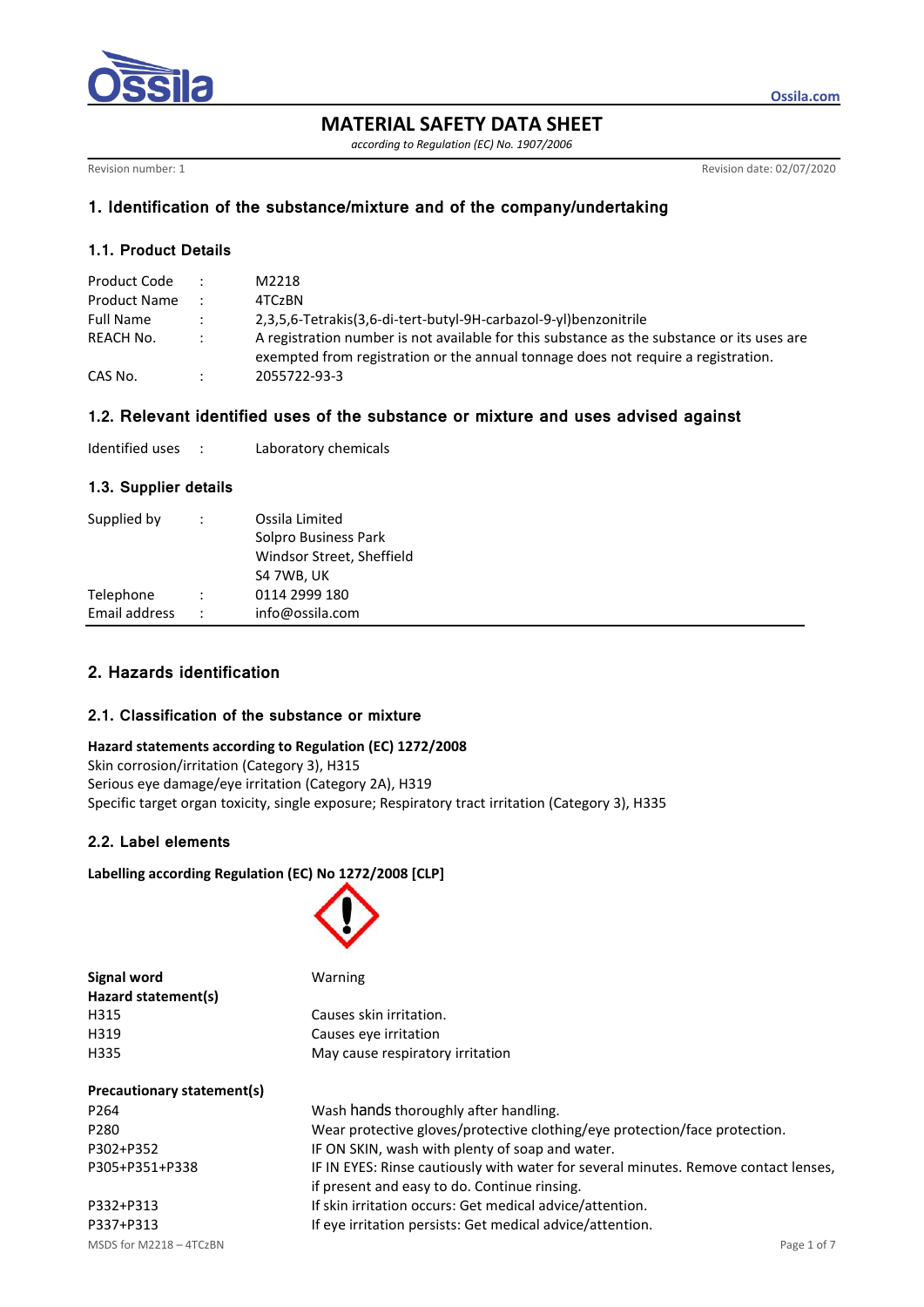

**MATERIAL SAFETY DATA SHEET**

*according to Regulation (EC) No. 1907/2006*

Revision number: 1 Revision date: 02/07/2020

**Ossila.com**

## **1. Identification of the substance/mixture and of the company/undertaking**

## **1.1. Product Details**

| Product Code     |               | M2218                                                                                                                                                                           |
|------------------|---------------|---------------------------------------------------------------------------------------------------------------------------------------------------------------------------------|
| Product Name     |               | 4TCzBN                                                                                                                                                                          |
| <b>Full Name</b> | $\mathcal{L}$ | 2,3,5,6-Tetrakis(3,6-di-tert-butyl-9H-carbazol-9-yl)benzonitrile                                                                                                                |
| REACH No.        | $\mathcal{L}$ | A registration number is not available for this substance as the substance or its uses are<br>exempted from registration or the annual tonnage does not require a registration. |
| CAS No.          |               | 2055722-93-3                                                                                                                                                                    |

#### **1.2. Relevant identified uses of the substance or mixture and uses advised against**

| Identified uses |  | Laboratory chemicals |
|-----------------|--|----------------------|
|-----------------|--|----------------------|

#### **1.3. Supplier details**

| Supplied by                |                      | Ossila Limited<br>Solpro Business Park<br>Windsor Street, Sheffield<br>S4 7WB, UK |
|----------------------------|----------------------|-----------------------------------------------------------------------------------|
| Telephone<br>Email address | $\ddot{\phantom{0}}$ | 0114 2999 180<br>info@ossila.com                                                  |

# **2. Hazards identification**

## **2.1. Classification of the substance or mixture**

#### **Hazard statements according to Regulation (EC) 1272/2008**

Skin corrosion/irritation (Category 3), H315 Serious eye damage/eye irritation (Category 2A), H319 Specific target organ toxicity, single exposure; Respiratory tract irritation (Category 3), H335

## **2.2. Label elements**

#### **Labelling according Regulation (EC) No 1272/2008 [CLP]**



| Signal word                | Warning                                                       |
|----------------------------|---------------------------------------------------------------|
| Hazard statement(s)        |                                                               |
| H315                       | Causes skin irritation.                                       |
| H319                       | Causes eve irritation                                         |
| H335                       | May cause respiratory irritation                              |
| Precautionary statement(s) |                                                               |
| P264                       | Wash hands thoroughly after handling.                         |
| P280                       | Wear protective gloves/protective clothing/eve protection/fac |

MSDS for M2218 – 4TCzBN Page 1 of 7

g/eye protection/face protection. P302+P352 IF ON SKIN, wash with plenty of soap and water. P305+P351+P338 IF IN EYES: Rinse cautiously with water for several minutes. Remove contact lenses, if present and easy to do. Continue rinsing. P332+P313 If skin irritation occurs: Get medical advice/attention. P337+P313 If eye irritation persists: Get medical advice/attention.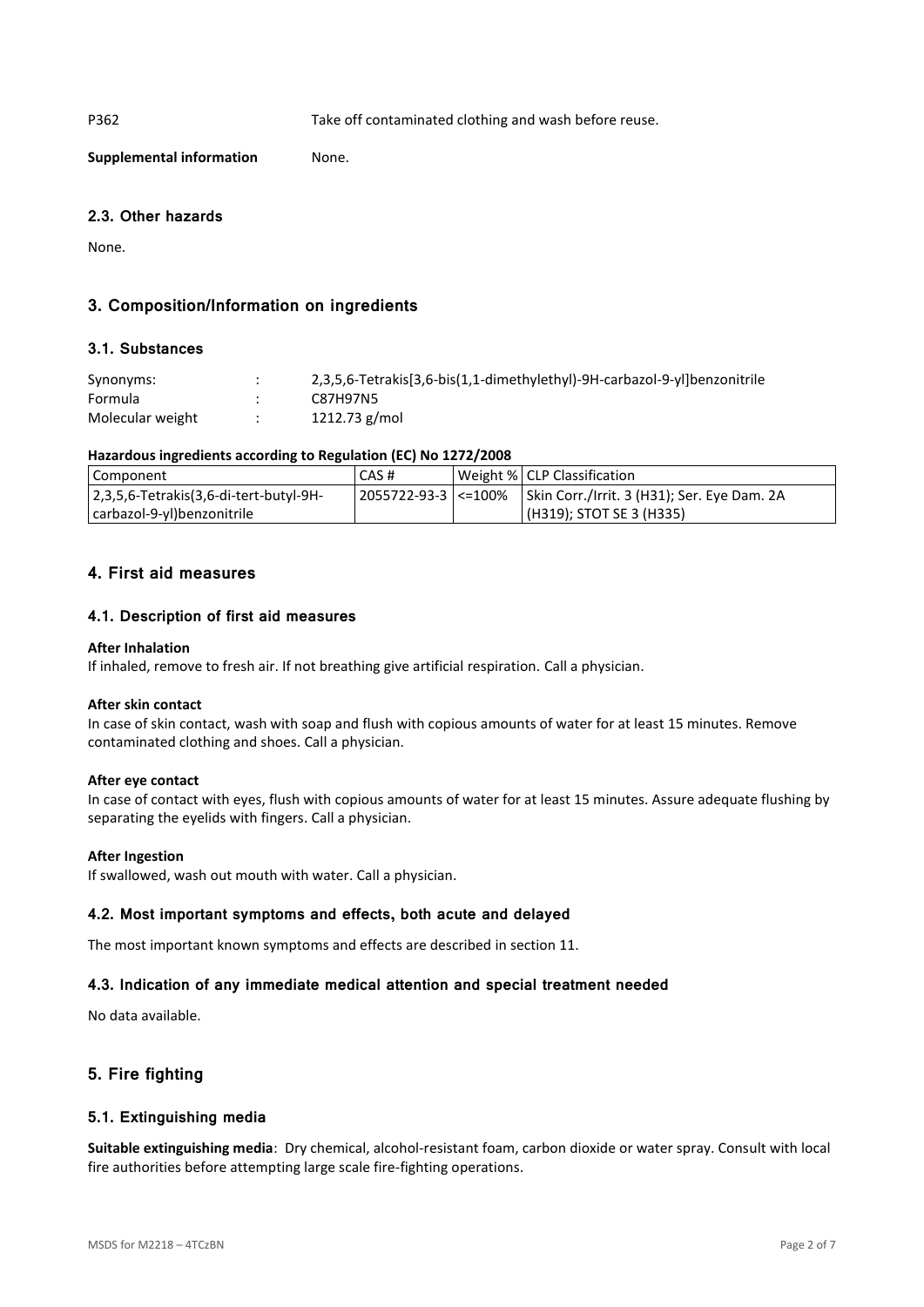P362 Take off contaminated clothing and wash before reuse.

**Supplemental information** None.

## **2.3. Other hazards**

None.

# **3. Composition/Information on ingredients**

## **3.1. Substances**

| Synonyms:        | 2,3,5,6-Tetrakis[3,6-bis(1,1-dimethylethyl)-9H-carbazol-9-yl]benzonitrile |
|------------------|---------------------------------------------------------------------------|
| Formula          | C87H97N5                                                                  |
| Molecular weight | 1212.73 g/mol                                                             |

## **Hazardous ingredients according to Regulation (EC) No 1272/2008**

| Component                              | CAS# | Weight %   CLP Classification                                       |
|----------------------------------------|------|---------------------------------------------------------------------|
| 2,3,5,6-Tetrakis(3,6-di-tert-butyl-9H- |      | 2055722-93-3   <=100%   Skin Corr./Irrit. 3 (H31); Ser. Eye Dam. 2A |
| carbazol-9-yl)benzonitrile             |      | (H319); STOT SE 3 (H335)                                            |

## **4. First aid measures**

## **4.1. Description of first aid measures**

#### **After Inhalation**

If inhaled, remove to fresh air. If not breathing give artificial respiration. Call a physician.

#### **After skin contact**

In case of skin contact, wash with soap and flush with copious amounts of water for at least 15 minutes. Remove contaminated clothing and shoes. Call a physician.

## **After eye contact**

In case of contact with eyes, flush with copious amounts of water for at least 15 minutes. Assure adequate flushing by separating the eyelids with fingers. Call a physician.

#### **After Ingestion**

If swallowed, wash out mouth with water. Call a physician.

## **4.2. Most important symptoms and effects, both acute and delayed**

The most important known symptoms and effects are described in section 11.

## **4.3. Indication of any immediate medical attention and special treatment needed**

No data available.

## **5. Fire fighting**

## **5.1. Extinguishing media**

**Suitable extinguishing media**: Dry chemical, alcohol-resistant foam, carbon dioxide or water spray. Consult with local fire authorities before attempting large scale fire-fighting operations.

MSDS for M2218 – 4TCzBN Page 2 of 7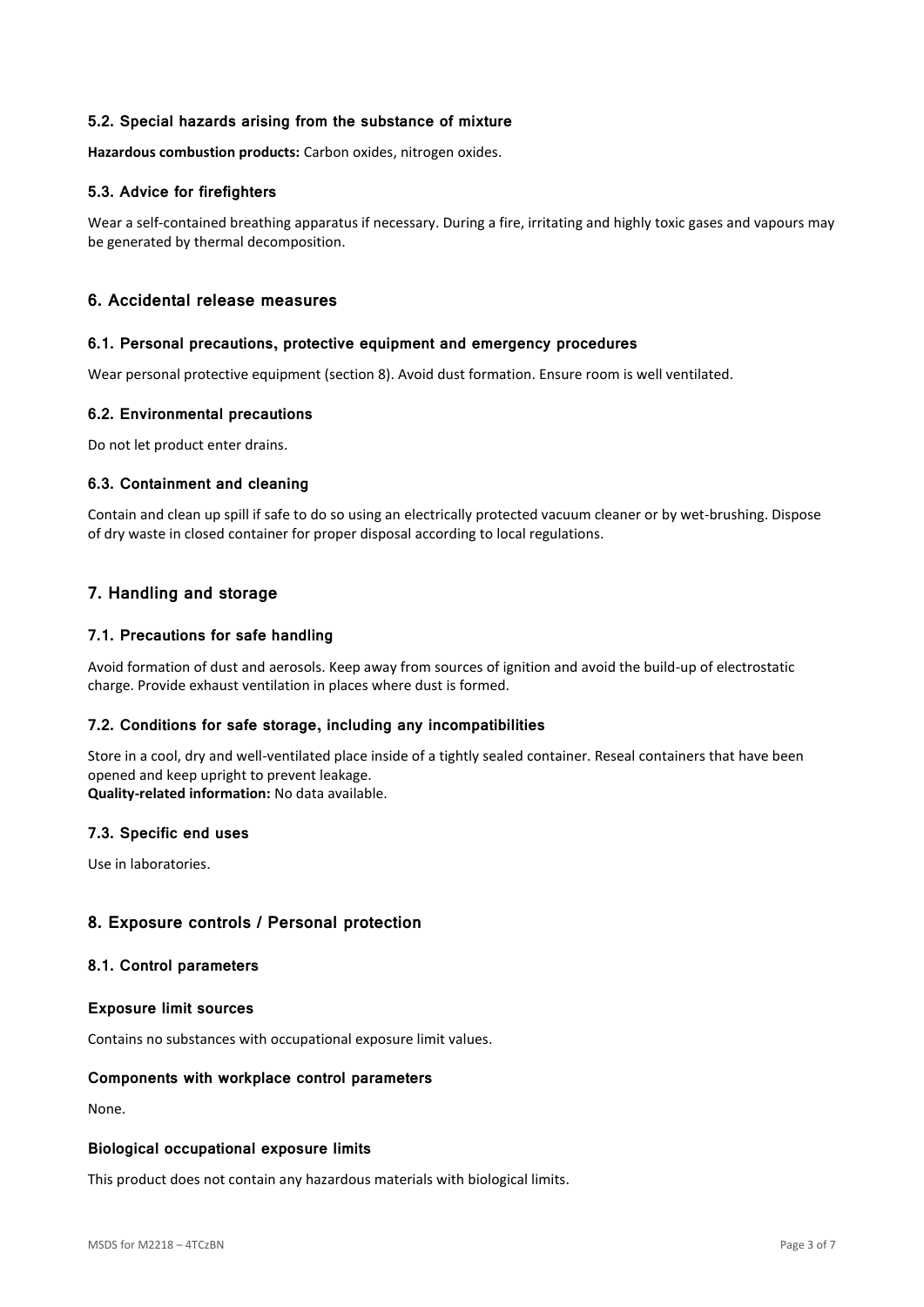## **5.2. Special hazards arising from the substance of mixture**

**Hazardous combustion products:** Carbon oxides, nitrogen oxides.

## **5.3. Advice for firefighters**

Wear a self-contained breathing apparatus if necessary. During a fire, irritating and highly toxic gases and vapours may be generated by thermal decomposition.

## **6. Accidental release measures**

#### **6.1. Personal precautions, protective equipment and emergency procedures**

Wear personal protective equipment (section 8). Avoid dust formation. Ensure room is well ventilated.

## **6.2. Environmental precautions**

Do not let product enter drains.

## **6.3. Containment and cleaning**

Contain and clean up spill if safe to do so using an electrically protected vacuum cleaner or by wet-brushing. Dispose of dry waste in closed container for proper disposal according to local regulations.

## **7. Handling and storage**

## **7.1. Precautions for safe handling**

Avoid formation of dust and aerosols. Keep away from sources of ignition and avoid the build-up of electrostatic charge. Provide exhaust ventilation in places where dust is formed.

## **7.2. Conditions for safe storage, including any incompatibilities**

Store in a cool, dry and well-ventilated place inside of a tightly sealed container. Reseal containers that have been opened and keep upright to prevent leakage.

**Quality-related information:** No data available.

## **7.3. Specific end uses**

Use in laboratories.

## **8. Exposure controls / Personal protection**

#### **8.1. Control parameters**

#### **Exposure limit sources**

Contains no substances with occupational exposure limit values.

## **Components with workplace control parameters**

None.

#### **Biological occupational exposure limits**

This product does not contain any hazardous materials with biological limits.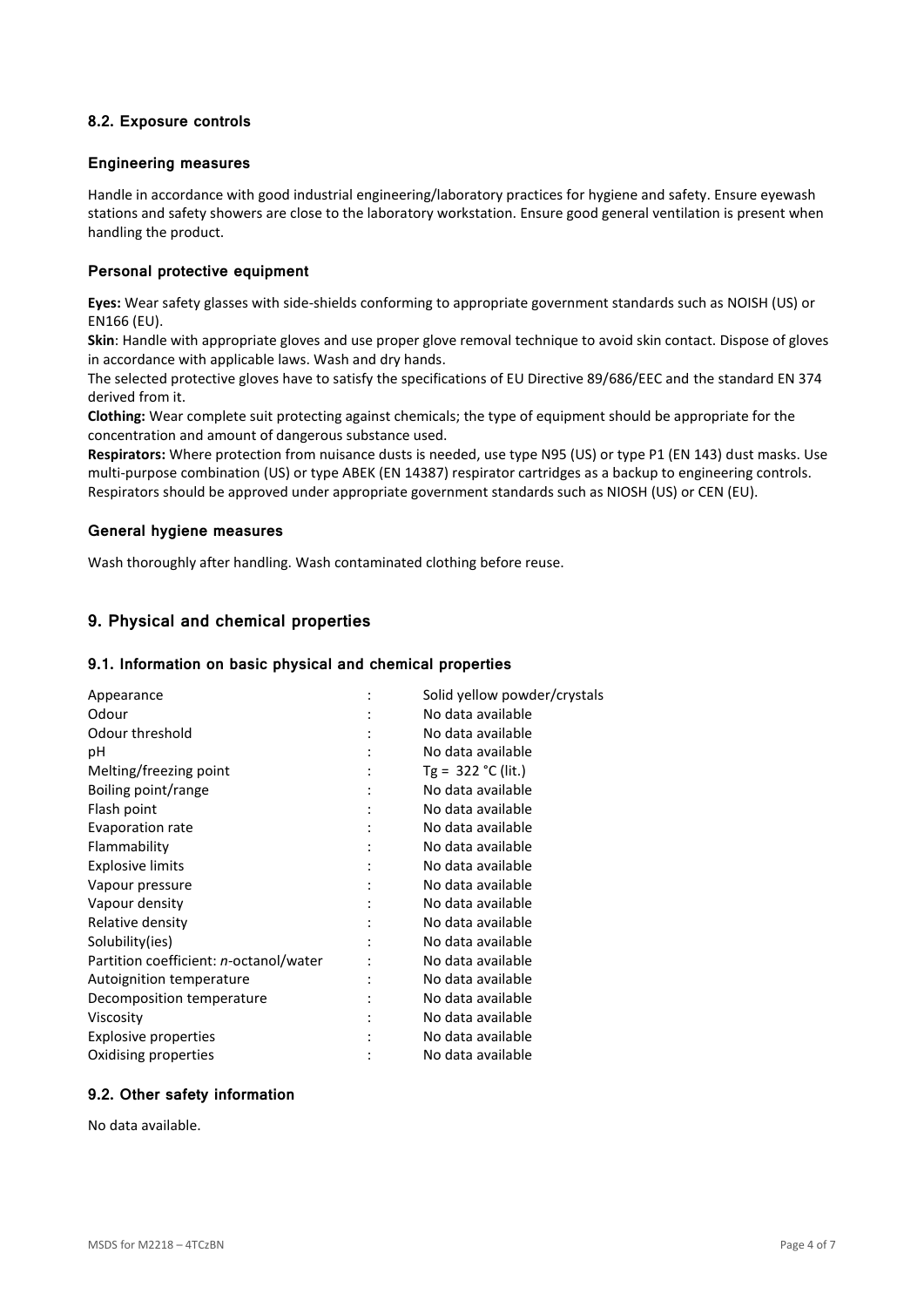## **8.2. Exposure controls**

#### **Engineering measures**

Handle in accordance with good industrial engineering/laboratory practices for hygiene and safety. Ensure eyewash stations and safety showers are close to the laboratory workstation. Ensure good general ventilation is present when handling the product.

## **Personal protective equipment**

**Eyes:** Wear safety glasses with side-shields conforming to appropriate government standards such as NOISH (US) or EN166 (EU).

**Skin**: Handle with appropriate gloves and use proper glove removal technique to avoid skin contact. Dispose of gloves in accordance with applicable laws. Wash and dry hands.

The selected protective gloves have to satisfy the specifications of EU Directive 89/686/EEC and the standard EN 374 derived from it.

**Clothing:** Wear complete suit protecting against chemicals; the type of equipment should be appropriate for the concentration and amount of dangerous substance used.

**Respirators:** Where protection from nuisance dusts is needed, use type N95 (US) or type P1 (EN 143) dust masks. Use multi-purpose combination (US) or type ABEK (EN 14387) respirator cartridges as a backup to engineering controls. Respirators should be approved under appropriate government standards such as NIOSH (US) or CEN (EU).

#### **General hygiene measures**

Wash thoroughly after handling. Wash contaminated clothing before reuse.

## **9. Physical and chemical properties**

#### **9.1. Information on basic physical and chemical properties**

| Appearance                             |   | Solid yellow powder/crystals |
|----------------------------------------|---|------------------------------|
| Odour                                  |   | No data available            |
| Odour threshold                        |   | No data available            |
| рH                                     |   | No data available            |
| Melting/freezing point                 |   | Tg = $322$ °C (lit.)         |
| Boiling point/range                    |   | No data available            |
| Flash point                            | ٠ | No data available            |
| Evaporation rate                       |   | No data available            |
| Flammability                           |   | No data available            |
| <b>Explosive limits</b>                |   | No data available            |
| Vapour pressure                        |   | No data available            |
| Vapour density                         |   | No data available            |
| Relative density                       |   | No data available            |
| Solubility(ies)                        |   | No data available            |
| Partition coefficient: n-octanol/water |   | No data available            |
| Autoignition temperature               |   | No data available            |
| Decomposition temperature              |   | No data available            |
| Viscosity                              |   | No data available            |
| <b>Explosive properties</b>            |   | No data available            |
| Oxidising properties                   |   | No data available            |

## **9.2. Other safety information**

No data available.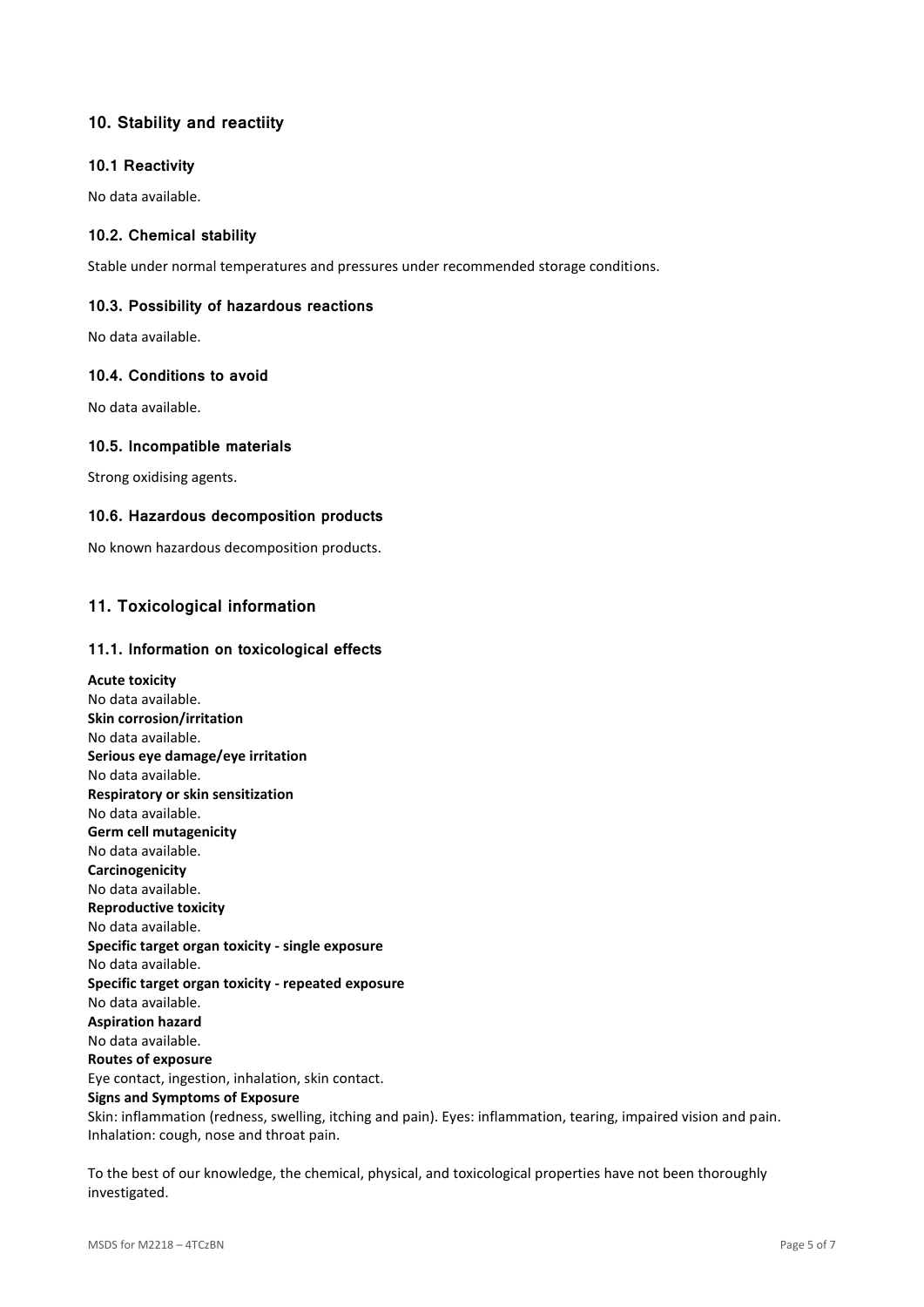# **10. Stability and reactiity**

## **10.1 Reactivity**

No data available.

## **10.2. Chemical stability**

Stable under normal temperatures and pressures under recommended storage conditions.

## **10.3. Possibility of hazardous reactions**

No data available.

## **10.4. Conditions to avoid**

No data available.

## **10.5. Incompatible materials**

Strong oxidising agents.

## **10.6. Hazardous decomposition products**

No known hazardous decomposition products.

# **11. Toxicological information**

## **11.1. Information on toxicological effects**

**Acute toxicity** No data available. **Skin corrosion/irritation** No data available. **Serious eye damage/eye irritation** No data available. **Respiratory or skin sensitization** No data available. **Germ cell mutagenicity** No data available. **Carcinogenicity** No data available. **Reproductive toxicity** No data available. **Specific target organ toxicity - single exposure** No data available. **Specific target organ toxicity - repeated exposure** No data available. **Aspiration hazard** No data available. **Routes of exposure** Eye contact, ingestion, inhalation, skin contact. **Signs and Symptoms of Exposure** Skin: inflammation (redness, swelling, itching and pain). Eyes: inflammation, tearing, impaired vision and pain. Inhalation: cough, nose and throat pain.

To the best of our knowledge, the chemical, physical, and toxicological properties have not been thoroughly investigated.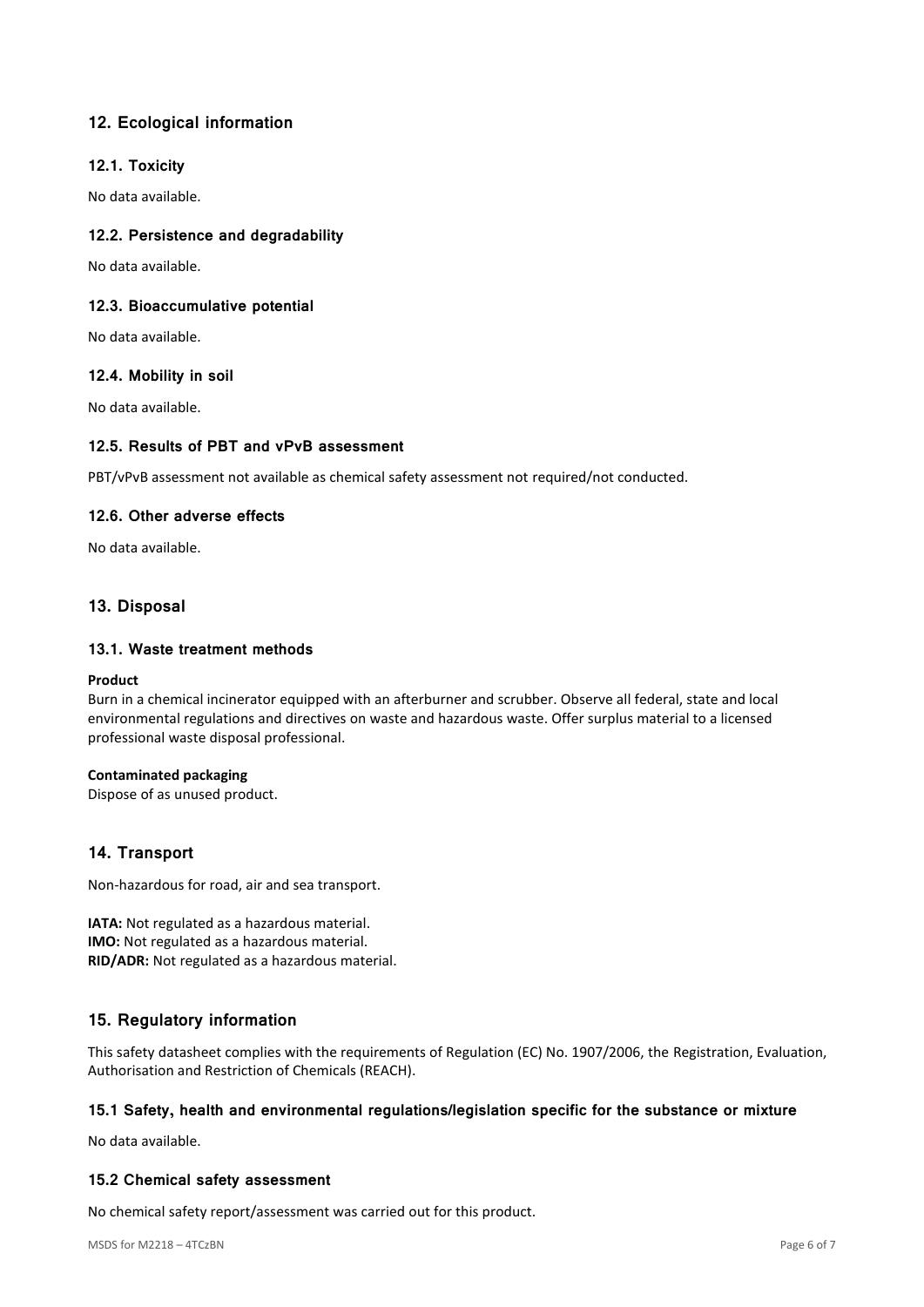# **12. Ecological information**

## **12.1. Toxicity**

No data available.

## **12.2. Persistence and degradability**

No data available.

## **12.3. Bioaccumulative potential**

No data available.

## **12.4. Mobility in soil**

No data available.

## **12.5. Results of PBT and vPvB assessment**

PBT/vPvB assessment not available as chemical safety assessment not required/not conducted.

## **12.6. Other adverse effects**

No data available.

## **13. Disposal**

## **13.1. Waste treatment methods**

#### **Product**

Burn in a chemical incinerator equipped with an afterburner and scrubber. Observe all federal, state and local environmental regulations and directives on waste and hazardous waste. Offer surplus material to a licensed professional waste disposal professional.

## **Contaminated packaging**

Dispose of as unused product.

## **14. Transport**

Non-hazardous for road, air and sea transport.

**IATA:** Not regulated as a hazardous material. **IMO:** Not regulated as a hazardous material. **RID/ADR:** Not regulated as a hazardous material.

## **15. Regulatory information**

This safety datasheet complies with the requirements of Regulation (EC) No. 1907/2006, the Registration, Evaluation, Authorisation and Restriction of Chemicals (REACH).

## **15.1 Safety, health and environmental regulations/legislation specific for the substance or mixture**

No data available.

## **15.2 Chemical safety assessment**

No chemical safety report/assessment was carried out for this product.